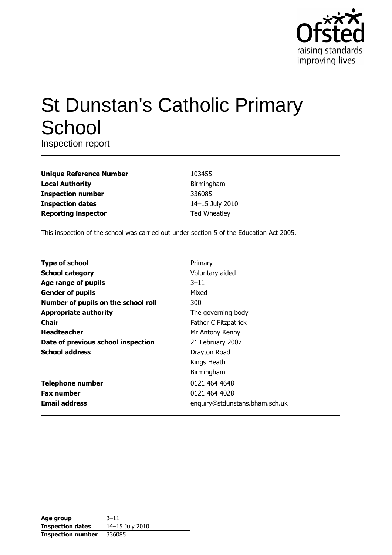

# **St Dunstan's Catholic Primary** School

Inspection report

| <b>Unique Reference Number</b> |
|--------------------------------|
| <b>Local Authority</b>         |
| <b>Inspection number</b>       |
| <b>Inspection dates</b>        |
| <b>Reporting inspector</b>     |

103455 Birmingham 336085 14-15 July 2010 **Ted Wheatley** 

This inspection of the school was carried out under section 5 of the Education Act 2005.

| <b>Type of school</b>               | Primary                        |
|-------------------------------------|--------------------------------|
| <b>School category</b>              | Voluntary aided                |
| Age range of pupils                 | $3 - 11$                       |
| <b>Gender of pupils</b>             | Mixed                          |
| Number of pupils on the school roll | 300                            |
| <b>Appropriate authority</b>        | The governing body             |
| Chair                               | Father C Fitzpatrick           |
| <b>Headteacher</b>                  | Mr Antony Kenny                |
| Date of previous school inspection  | 21 February 2007               |
| <b>School address</b>               | Drayton Road                   |
|                                     | Kings Heath                    |
|                                     | Birmingham                     |
| <b>Telephone number</b>             | 0121 464 4648                  |
| <b>Fax number</b>                   | 0121 464 4028                  |
| <b>Email address</b>                | enquiry@stdunstans.bham.sch.uk |

| Age group                | $3 - 11$        |
|--------------------------|-----------------|
| <b>Inspection dates</b>  | 14-15 July 2010 |
| <b>Inspection number</b> | 336085          |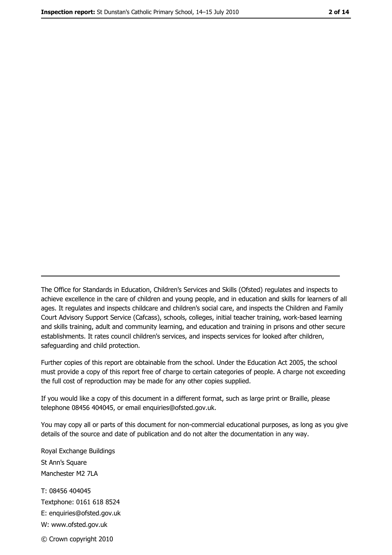The Office for Standards in Education, Children's Services and Skills (Ofsted) regulates and inspects to achieve excellence in the care of children and young people, and in education and skills for learners of all ages. It regulates and inspects childcare and children's social care, and inspects the Children and Family Court Advisory Support Service (Cafcass), schools, colleges, initial teacher training, work-based learning and skills training, adult and community learning, and education and training in prisons and other secure establishments. It rates council children's services, and inspects services for looked after children, safequarding and child protection.

Further copies of this report are obtainable from the school. Under the Education Act 2005, the school must provide a copy of this report free of charge to certain categories of people. A charge not exceeding the full cost of reproduction may be made for any other copies supplied.

If you would like a copy of this document in a different format, such as large print or Braille, please telephone 08456 404045, or email enquiries@ofsted.gov.uk.

You may copy all or parts of this document for non-commercial educational purposes, as long as you give details of the source and date of publication and do not alter the documentation in any way.

Royal Exchange Buildings St Ann's Square Manchester M2 7LA T: 08456 404045 Textphone: 0161 618 8524 E: enquiries@ofsted.gov.uk W: www.ofsted.gov.uk © Crown copyright 2010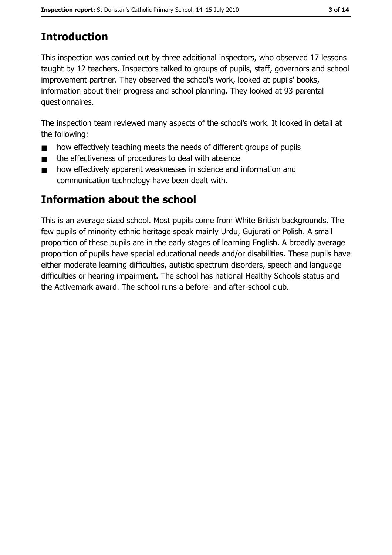# **Introduction**

This inspection was carried out by three additional inspectors, who observed 17 lessons taught by 12 teachers. Inspectors talked to groups of pupils, staff, governors and school improvement partner. They observed the school's work, looked at pupils' books, information about their progress and school planning. They looked at 93 parental questionnaires.

The inspection team reviewed many aspects of the school's work. It looked in detail at the following:

- how effectively teaching meets the needs of different groups of pupils  $\blacksquare$
- the effectiveness of procedures to deal with absence  $\blacksquare$
- how effectively apparent weaknesses in science and information and  $\blacksquare$ communication technology have been dealt with.

# Information about the school

This is an average sized school. Most pupils come from White British backgrounds. The few pupils of minority ethnic heritage speak mainly Urdu, Gujurati or Polish. A small proportion of these pupils are in the early stages of learning English. A broadly average proportion of pupils have special educational needs and/or disabilities. These pupils have either moderate learning difficulties, autistic spectrum disorders, speech and language difficulties or hearing impairment. The school has national Healthy Schools status and the Activemark award. The school runs a before- and after-school club.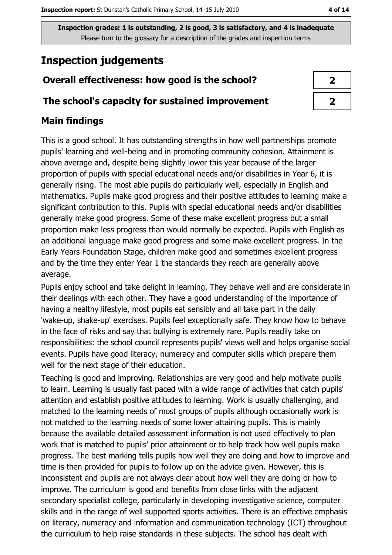# **Inspection judgements**

### Overall effectiveness: how good is the school?

#### The school's capacity for sustained improvement

## **Main findings**

This is a good school. It has outstanding strengths in how well partnerships promote pupils' learning and well-being and in promoting community cohesion. Attainment is above average and, despite being slightly lower this year because of the larger proportion of pupils with special educational needs and/or disabilities in Year 6, it is generally rising. The most able pupils do particularly well, especially in English and mathematics. Pupils make good progress and their positive attitudes to learning make a significant contribution to this. Pupils with special educational needs and/or disabilities generally make good progress. Some of these make excellent progress but a small proportion make less progress than would normally be expected. Pupils with English as an additional language make good progress and some make excellent progress. In the Early Years Foundation Stage, children make good and sometimes excellent progress and by the time they enter Year 1 the standards they reach are generally above average.

Pupils enjoy school and take delight in learning. They behave well and are considerate in their dealings with each other. They have a good understanding of the importance of having a healthy lifestyle, most pupils eat sensibly and all take part in the daily 'wake-up, shake-up' exercises. Pupils feel exceptionally safe. They know how to behave in the face of risks and say that bullying is extremely rare. Pupils readily take on responsibilities: the school council represents pupils' views well and helps organise social events. Pupils have good literacy, numeracy and computer skills which prepare them well for the next stage of their education.

Teaching is good and improving. Relationships are very good and help motivate pupils to learn. Learning is usually fast paced with a wide range of activities that catch pupils' attention and establish positive attitudes to learning. Work is usually challenging, and matched to the learning needs of most groups of pupils although occasionally work is not matched to the learning needs of some lower attaining pupils. This is mainly because the available detailed assessment information is not used effectively to plan work that is matched to pupils' prior attainment or to help track how well pupils make progress. The best marking tells pupils how well they are doing and how to improve and time is then provided for pupils to follow up on the advice given. However, this is inconsistent and pupils are not always clear about how well they are doing or how to improve. The curriculum is good and benefits from close links with the adjacent secondary specialist college, particularly in developing investigative science, computer skills and in the range of well supported sports activities. There is an effective emphasis on literacy, numeracy and information and communication technology (ICT) throughout the curriculum to help raise standards in these subjects. The school has dealt with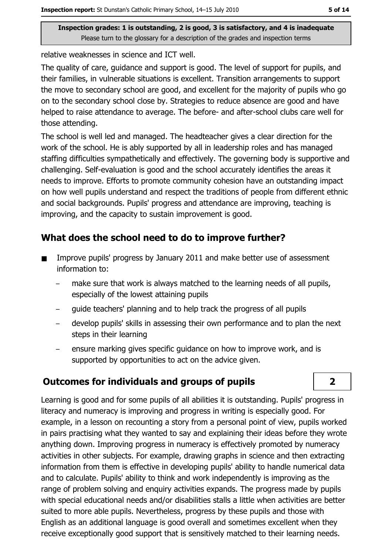relative weaknesses in science and ICT well.

The quality of care, guidance and support is good. The level of support for pupils, and their families, in vulnerable situations is excellent. Transition arrangements to support the move to secondary school are good, and excellent for the majority of pupils who go on to the secondary school close by. Strategies to reduce absence are good and have helped to raise attendance to average. The before- and after-school clubs care well for those attending.

The school is well led and managed. The headteacher gives a clear direction for the work of the school. He is ably supported by all in leadership roles and has managed staffing difficulties sympathetically and effectively. The governing body is supportive and challenging. Self-evaluation is good and the school accurately identifies the areas it needs to improve. Efforts to promote community cohesion have an outstanding impact on how well pupils understand and respect the traditions of people from different ethnic and social backgrounds. Pupils' progress and attendance are improving, teaching is improving, and the capacity to sustain improvement is good.

## What does the school need to do to improve further?

- Improve pupils' progress by January 2011 and make better use of assessment  $\blacksquare$ information to:
	- make sure that work is always matched to the learning needs of all pupils, especially of the lowest attaining pupils
	- quide teachers' planning and to help track the progress of all pupils
	- develop pupils' skills in assessing their own performance and to plan the next steps in their learning
	- ensure marking gives specific guidance on how to improve work, and is supported by opportunities to act on the advice given.

## **Outcomes for individuals and groups of pupils**

Learning is good and for some pupils of all abilities it is outstanding. Pupils' progress in literacy and numeracy is improving and progress in writing is especially good. For example, in a lesson on recounting a story from a personal point of view, pupils worked in pairs practising what they wanted to say and explaining their ideas before they wrote anything down. Improving progress in numeracy is effectively promoted by numeracy activities in other subjects. For example, drawing graphs in science and then extracting information from them is effective in developing pupils' ability to handle numerical data and to calculate. Pupils' ability to think and work independently is improving as the range of problem solving and enquiry activities expands. The progress made by pupils with special educational needs and/or disabilities stalls a little when activities are better suited to more able pupils. Nevertheless, progress by these pupils and those with English as an additional language is good overall and sometimes excellent when they receive exceptionally good support that is sensitively matched to their learning needs.

 $2<sup>1</sup>$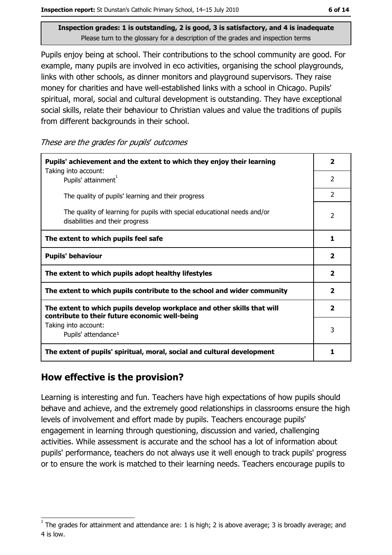Pupils enjoy being at school. Their contributions to the school community are good. For example, many pupils are involved in eco activities, organising the school playgrounds, links with other schools, as dinner monitors and playground supervisors. They raise money for charities and have well-established links with a school in Chicago. Pupils' spiritual, moral, social and cultural development is outstanding. They have exceptional social skills, relate their behaviour to Christian values and value the traditions of pupils from different backgrounds in their school.

These are the grades for pupils' outcomes

| Pupils' achievement and the extent to which they enjoy their learning<br>Taking into account:                             | $\overline{\mathbf{2}}$  |
|---------------------------------------------------------------------------------------------------------------------------|--------------------------|
| Pupils' attainment <sup>1</sup>                                                                                           | $\overline{2}$           |
| The quality of pupils' learning and their progress                                                                        | $\overline{2}$           |
| The quality of learning for pupils with special educational needs and/or<br>disabilities and their progress               | $\overline{\phantom{a}}$ |
| The extent to which pupils feel safe                                                                                      | 1                        |
| <b>Pupils' behaviour</b>                                                                                                  | $\overline{\mathbf{2}}$  |
| The extent to which pupils adopt healthy lifestyles                                                                       | $\mathbf{2}$             |
| The extent to which pupils contribute to the school and wider community                                                   | $\overline{\mathbf{2}}$  |
| The extent to which pupils develop workplace and other skills that will<br>contribute to their future economic well-being | $\overline{2}$           |
| Taking into account:<br>Pupils' attendance <sup>1</sup>                                                                   | 3                        |
| The extent of pupils' spiritual, moral, social and cultural development                                                   | 1                        |

## How effective is the provision?

Learning is interesting and fun. Teachers have high expectations of how pupils should behave and achieve, and the extremely good relationships in classrooms ensure the high levels of involvement and effort made by pupils. Teachers encourage pupils' engagement in learning through guestioning, discussion and varied, challenging activities. While assessment is accurate and the school has a lot of information about pupils' performance, teachers do not always use it well enough to track pupils' progress or to ensure the work is matched to their learning needs. Teachers encourage pupils to

The grades for attainment and attendance are: 1 is high; 2 is above average; 3 is broadly average; and 4 is low.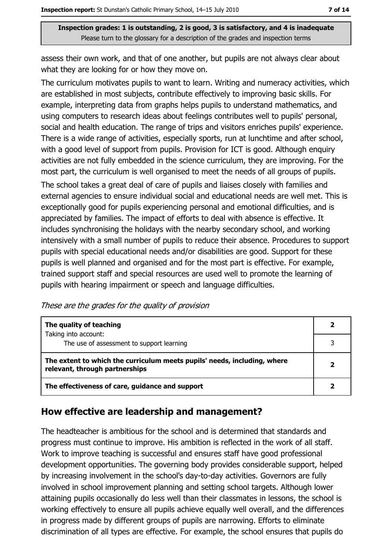assess their own work, and that of one another, but pupils are not always clear about what they are looking for or how they move on.

The curriculum motivates pupils to want to learn. Writing and numeracy activities, which are established in most subjects, contribute effectively to improving basic skills. For example, interpreting data from graphs helps pupils to understand mathematics, and using computers to research ideas about feelings contributes well to pupils' personal, social and health education. The range of trips and visitors enriches pupils' experience. There is a wide range of activities, especially sports, run at lunchtime and after school, with a good level of support from pupils. Provision for ICT is good. Although enquiry activities are not fully embedded in the science curriculum, they are improving. For the most part, the curriculum is well organised to meet the needs of all groups of pupils.

The school takes a great deal of care of pupils and liaises closely with families and external agencies to ensure individual social and educational needs are well met. This is exceptionally good for pupils experiencing personal and emotional difficulties, and is appreciated by families. The impact of efforts to deal with absence is effective. It includes synchronising the holidays with the nearby secondary school, and working intensively with a small number of pupils to reduce their absence. Procedures to support pupils with special educational needs and/or disabilities are good. Support for these pupils is well planned and organised and for the most part is effective. For example, trained support staff and special resources are used well to promote the learning of pupils with hearing impairment or speech and language difficulties.

These are the grades for the quality of provision

| The quality of teaching                                                                                    |  |
|------------------------------------------------------------------------------------------------------------|--|
| Taking into account:<br>The use of assessment to support learning                                          |  |
| The extent to which the curriculum meets pupils' needs, including, where<br>relevant, through partnerships |  |
| The effectiveness of care, guidance and support                                                            |  |

#### How effective are leadership and management?

The headteacher is ambitious for the school and is determined that standards and progress must continue to improve. His ambition is reflected in the work of all staff. Work to improve teaching is successful and ensures staff have good professional development opportunities. The governing body provides considerable support, helped by increasing involvement in the school's day-to-day activities. Governors are fully involved in school improvement planning and setting school targets. Although lower attaining pupils occasionally do less well than their classmates in lessons, the school is working effectively to ensure all pupils achieve equally well overall, and the differences in progress made by different groups of pupils are narrowing. Efforts to eliminate discrimination of all types are effective. For example, the school ensures that pupils do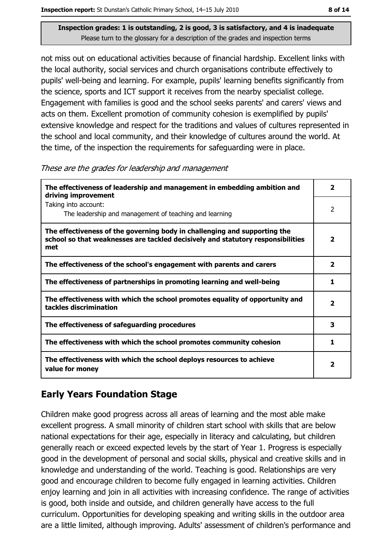not miss out on educational activities because of financial hardship. Excellent links with the local authority, social services and church organisations contribute effectively to pupils' well-being and learning. For example, pupils' learning benefits significantly from the science, sports and ICT support it receives from the nearby specialist college. Engagement with families is good and the school seeks parents' and carers' views and acts on them. Excellent promotion of community cohesion is exemplified by pupils' extensive knowledge and respect for the traditions and values of cultures represented in the school and local community, and their knowledge of cultures around the world. At the time, of the inspection the requirements for safeguarding were in place.

These are the grades for leadership and management

| The effectiveness of leadership and management in embedding ambition and<br>driving improvement                                                                     | $\overline{\mathbf{2}}$ |
|---------------------------------------------------------------------------------------------------------------------------------------------------------------------|-------------------------|
| Taking into account:<br>The leadership and management of teaching and learning                                                                                      | 2                       |
| The effectiveness of the governing body in challenging and supporting the<br>school so that weaknesses are tackled decisively and statutory responsibilities<br>met | $\mathbf{2}$            |
| The effectiveness of the school's engagement with parents and carers                                                                                                | $\overline{\mathbf{2}}$ |
| The effectiveness of partnerships in promoting learning and well-being                                                                                              | 1                       |
| The effectiveness with which the school promotes equality of opportunity and<br>tackles discrimination                                                              | $\overline{\mathbf{2}}$ |
| The effectiveness of safeguarding procedures                                                                                                                        | з                       |
| The effectiveness with which the school promotes community cohesion                                                                                                 | 1                       |
| The effectiveness with which the school deploys resources to achieve<br>value for money                                                                             | $\overline{\mathbf{2}}$ |

## **Early Years Foundation Stage**

Children make good progress across all areas of learning and the most able make excellent progress. A small minority of children start school with skills that are below national expectations for their age, especially in literacy and calculating, but children generally reach or exceed expected levels by the start of Year 1. Progress is especially good in the development of personal and social skills, physical and creative skills and in knowledge and understanding of the world. Teaching is good. Relationships are very good and encourage children to become fully engaged in learning activities. Children enjoy learning and join in all activities with increasing confidence. The range of activities is good, both inside and outside, and children generally have access to the full curriculum. Opportunities for developing speaking and writing skills in the outdoor area are a little limited, although improving. Adults' assessment of children's performance and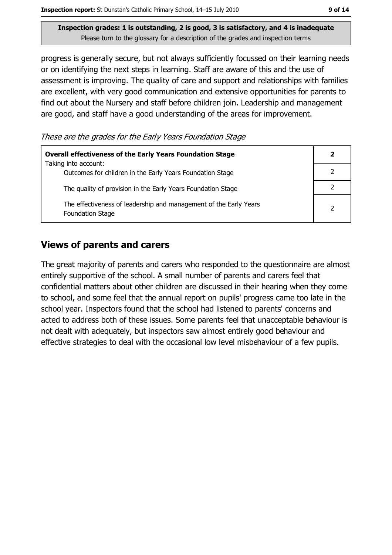progress is generally secure, but not always sufficiently focussed on their learning needs or on identifying the next steps in learning. Staff are aware of this and the use of assessment is improving. The quality of care and support and relationships with families are excellent, with very good communication and extensive opportunities for parents to find out about the Nursery and staff before children join. Leadership and management are good, and staff have a good understanding of the areas for improvement.

These are the grades for the Early Years Foundation Stage

| <b>Overall effectiveness of the Early Years Foundation Stage</b><br>Taking into account:     | $\mathbf{2}$   |
|----------------------------------------------------------------------------------------------|----------------|
| Outcomes for children in the Early Years Foundation Stage                                    |                |
| The quality of provision in the Early Years Foundation Stage                                 |                |
| The effectiveness of leadership and management of the Early Years<br><b>Foundation Stage</b> | $\overline{2}$ |

#### **Views of parents and carers**

The great majority of parents and carers who responded to the questionnaire are almost entirely supportive of the school. A small number of parents and carers feel that confidential matters about other children are discussed in their hearing when they come to school, and some feel that the annual report on pupils' progress came too late in the school year. Inspectors found that the school had listened to parents' concerns and acted to address both of these issues. Some parents feel that unacceptable behaviour is not dealt with adequately, but inspectors saw almost entirely good behaviour and effective strategies to deal with the occasional low level misbehaviour of a few pupils.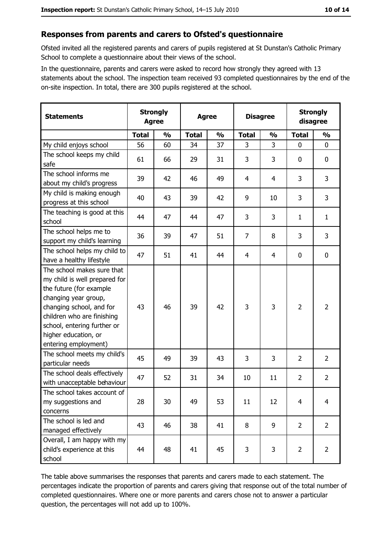#### Responses from parents and carers to Ofsted's questionnaire

Ofsted invited all the registered parents and carers of pupils registered at St Dunstan's Catholic Primary School to complete a questionnaire about their views of the school.

In the questionnaire, parents and carers were asked to record how strongly they agreed with 13 statements about the school. The inspection team received 93 completed questionnaires by the end of the on-site inspection. In total, there are 300 pupils registered at the school.

| <b>Statements</b>                                                                                                                                                                                                                                       | <b>Strongly</b><br><b>Agree</b> |               | <b>Agree</b> |               |                | <b>Disagree</b> |                | <b>Strongly</b><br>disagree |  |
|---------------------------------------------------------------------------------------------------------------------------------------------------------------------------------------------------------------------------------------------------------|---------------------------------|---------------|--------------|---------------|----------------|-----------------|----------------|-----------------------------|--|
|                                                                                                                                                                                                                                                         | <b>Total</b>                    | $\frac{0}{0}$ | <b>Total</b> | $\frac{0}{0}$ | <b>Total</b>   | $\frac{1}{2}$   | <b>Total</b>   | $\frac{0}{0}$               |  |
| My child enjoys school                                                                                                                                                                                                                                  | 56                              | 60            | 34           | 37            | 3              | 3               | $\mathbf{0}$   | $\mathbf{0}$                |  |
| The school keeps my child<br>safe                                                                                                                                                                                                                       | 61                              | 66            | 29           | 31            | 3              | 3               | 0              | 0                           |  |
| The school informs me<br>about my child's progress                                                                                                                                                                                                      | 39                              | 42            | 46           | 49            | 4              | 4               | 3              | 3                           |  |
| My child is making enough<br>progress at this school                                                                                                                                                                                                    | 40                              | 43            | 39           | 42            | 9              | 10              | 3              | 3                           |  |
| The teaching is good at this<br>school                                                                                                                                                                                                                  | 44                              | 47            | 44           | 47            | 3              | 3               | 1              | $\mathbf{1}$                |  |
| The school helps me to<br>support my child's learning                                                                                                                                                                                                   | 36                              | 39            | 47           | 51            | $\overline{7}$ | 8               | 3              | 3                           |  |
| The school helps my child to<br>have a healthy lifestyle                                                                                                                                                                                                | 47                              | 51            | 41           | 44            | 4              | 4               | 0              | $\mathbf 0$                 |  |
| The school makes sure that<br>my child is well prepared for<br>the future (for example<br>changing year group,<br>changing school, and for<br>children who are finishing<br>school, entering further or<br>higher education, or<br>entering employment) | 43                              | 46            | 39           | 42            | 3              | 3               | $\overline{2}$ | $\overline{2}$              |  |
| The school meets my child's<br>particular needs                                                                                                                                                                                                         | 45                              | 49            | 39           | 43            | 3              | 3               | $\overline{2}$ | $\overline{2}$              |  |
| The school deals effectively<br>with unacceptable behaviour                                                                                                                                                                                             | 47                              | 52            | 31           | 34            | 10             | 11              | $\overline{2}$ | $\overline{2}$              |  |
| The school takes account of<br>my suggestions and<br>concerns                                                                                                                                                                                           | 28                              | 30            | 49           | 53            | 11             | 12              | 4              | 4                           |  |
| The school is led and<br>managed effectively                                                                                                                                                                                                            | 43                              | 46            | 38           | 41            | 8              | 9               | $\overline{2}$ | $\overline{2}$              |  |
| Overall, I am happy with my<br>child's experience at this<br>school                                                                                                                                                                                     | 44                              | 48            | 41           | 45            | 3              | 3               | $\overline{2}$ | $\overline{2}$              |  |

The table above summarises the responses that parents and carers made to each statement. The percentages indicate the proportion of parents and carers giving that response out of the total number of completed questionnaires. Where one or more parents and carers chose not to answer a particular question, the percentages will not add up to 100%.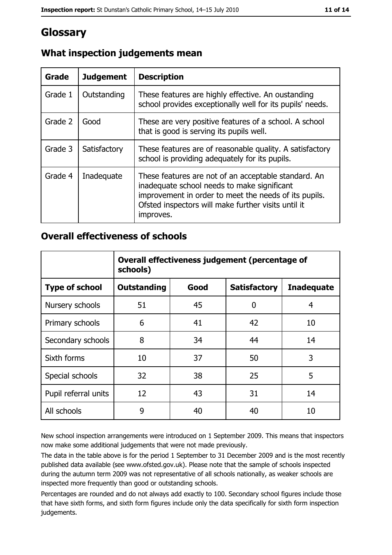# **Glossary**

| Grade   | <b>Judgement</b> | <b>Description</b>                                                                                                                                                                                                               |  |
|---------|------------------|----------------------------------------------------------------------------------------------------------------------------------------------------------------------------------------------------------------------------------|--|
| Grade 1 | Outstanding      | These features are highly effective. An oustanding<br>school provides exceptionally well for its pupils' needs.                                                                                                                  |  |
| Grade 2 | Good             | These are very positive features of a school. A school<br>that is good is serving its pupils well.                                                                                                                               |  |
| Grade 3 | Satisfactory     | These features are of reasonable quality. A satisfactory<br>school is providing adequately for its pupils.                                                                                                                       |  |
| Grade 4 | Inadequate       | These features are not of an acceptable standard. An<br>inadequate school needs to make significant<br>improvement in order to meet the needs of its pupils.<br>Ofsted inspectors will make further visits until it<br>improves. |  |

# What inspection judgements mean

#### **Overall effectiveness of schools**

|                       | Overall effectiveness judgement (percentage of<br>schools) |      |                     |                   |
|-----------------------|------------------------------------------------------------|------|---------------------|-------------------|
| <b>Type of school</b> | <b>Outstanding</b>                                         | Good | <b>Satisfactory</b> | <b>Inadequate</b> |
| Nursery schools       | 51                                                         | 45   | 0                   | 4                 |
| Primary schools       | 6                                                          | 41   | 42                  | 10                |
| Secondary schools     | 8                                                          | 34   | 44                  | 14                |
| Sixth forms           | 10                                                         | 37   | 50                  | 3                 |
| Special schools       | 32                                                         | 38   | 25                  | 5                 |
| Pupil referral units  | 12                                                         | 43   | 31                  | 14                |
| All schools           | 9                                                          | 40   | 40                  | 10                |

New school inspection arrangements were introduced on 1 September 2009. This means that inspectors now make some additional judgements that were not made previously.

The data in the table above is for the period 1 September to 31 December 2009 and is the most recently published data available (see www.ofsted.gov.uk). Please note that the sample of schools inspected during the autumn term 2009 was not representative of all schools nationally, as weaker schools are inspected more frequently than good or outstanding schools.

Percentages are rounded and do not always add exactly to 100. Secondary school figures include those that have sixth forms, and sixth form figures include only the data specifically for sixth form inspection judgements.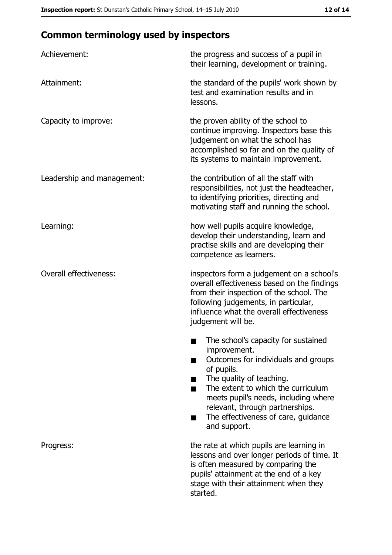# **Common terminology used by inspectors**

| Achievement:                  | the progress and success of a pupil in<br>their learning, development or training.                                                                                                                                                                                                                           |
|-------------------------------|--------------------------------------------------------------------------------------------------------------------------------------------------------------------------------------------------------------------------------------------------------------------------------------------------------------|
| Attainment:                   | the standard of the pupils' work shown by<br>test and examination results and in<br>lessons.                                                                                                                                                                                                                 |
| Capacity to improve:          | the proven ability of the school to<br>continue improving. Inspectors base this<br>judgement on what the school has<br>accomplished so far and on the quality of<br>its systems to maintain improvement.                                                                                                     |
| Leadership and management:    | the contribution of all the staff with<br>responsibilities, not just the headteacher,<br>to identifying priorities, directing and<br>motivating staff and running the school.                                                                                                                                |
| Learning:                     | how well pupils acquire knowledge,<br>develop their understanding, learn and<br>practise skills and are developing their<br>competence as learners.                                                                                                                                                          |
| <b>Overall effectiveness:</b> | inspectors form a judgement on a school's<br>overall effectiveness based on the findings<br>from their inspection of the school. The<br>following judgements, in particular,<br>influence what the overall effectiveness<br>judgement will be.                                                               |
|                               | The school's capacity for sustained<br>improvement.<br>Outcomes for individuals and groups<br>of pupils.<br>The quality of teaching.<br>The extent to which the curriculum<br>meets pupil's needs, including where<br>relevant, through partnerships.<br>The effectiveness of care, guidance<br>and support. |
| Progress:                     | the rate at which pupils are learning in<br>lessons and over longer periods of time. It<br>is often measured by comparing the<br>pupils' attainment at the end of a key<br>stage with their attainment when they<br>started.                                                                                 |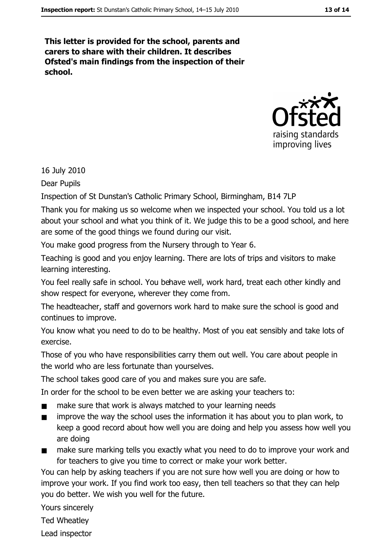This letter is provided for the school, parents and carers to share with their children. It describes Ofsted's main findings from the inspection of their school.



16 July 2010

Dear Pupils

Inspection of St Dunstan's Catholic Primary School, Birmingham, B14 7LP

Thank you for making us so welcome when we inspected your school. You told us a lot about your school and what you think of it. We judge this to be a good school, and here are some of the good things we found during our visit.

You make good progress from the Nursery through to Year 6.

Teaching is good and you enjoy learning. There are lots of trips and visitors to make learning interesting.

You feel really safe in school. You behave well, work hard, treat each other kindly and show respect for everyone, wherever they come from.

The headteacher, staff and governors work hard to make sure the school is good and continues to improve.

You know what you need to do to be healthy. Most of you eat sensibly and take lots of exercise.

Those of you who have responsibilities carry them out well. You care about people in the world who are less fortunate than yourselves.

The school takes good care of you and makes sure you are safe.

In order for the school to be even better we are asking your teachers to:

- make sure that work is always matched to your learning needs  $\blacksquare$
- improve the way the school uses the information it has about you to plan work, to  $\blacksquare$ keep a good record about how well you are doing and help you assess how well you are doing
- $\blacksquare$ make sure marking tells you exactly what you need to do to improve your work and for teachers to give you time to correct or make your work better.

You can help by asking teachers if you are not sure how well you are doing or how to improve your work. If you find work too easy, then tell teachers so that they can help you do better. We wish you well for the future.

Yours sincerely

Ted Wheatley

Lead inspector